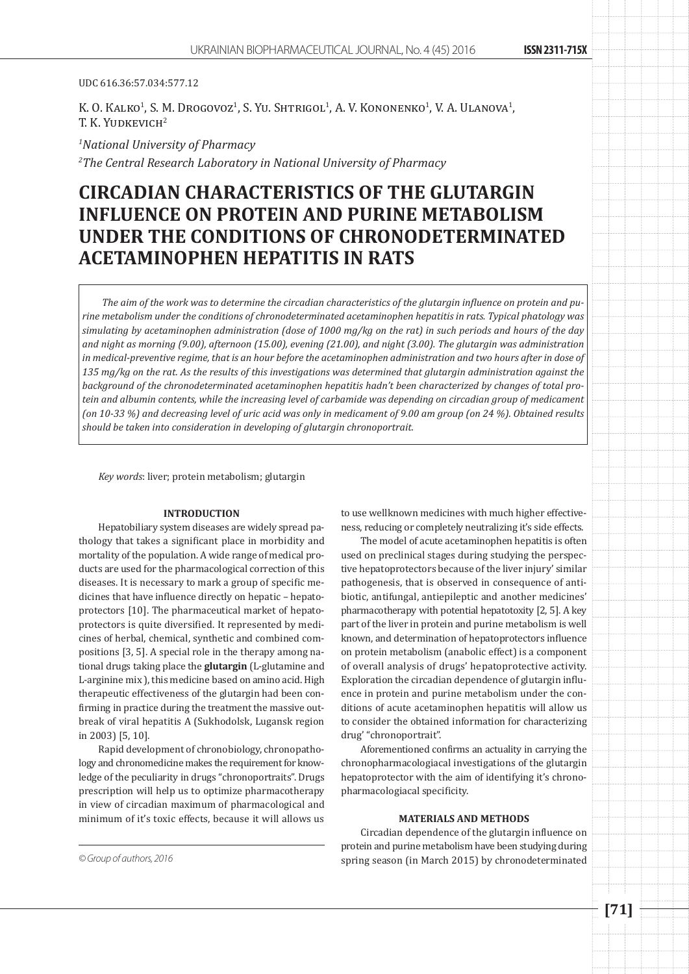#### UDC 616.36:57.034:577.12

K. O. Kalko<sup>1</sup>, S. M. Drogovoz<sup>1</sup>, S. Yu. Shtrigol<sup>1</sup>, A. V. Kononenko<sup>1</sup>, V. A. Ulanova<sup>1</sup>, T. K. YUDKEVICH<sup>2</sup>

*1 National University of Pharmacy 2 The Central Research Laboratory in National University of Pharmacy*

# **CIRCADIAN CHARACTERISTICS OF THE GLUTARGIN INFLUENCE ON PROTEIN AND PURINE METABOLISM UNDER THE CONDITIONS OF CHRONODETERMINATED ACETAMINOPHEN HEPATITIS IN RATS**

*The aim of the work was to determine the circadian characteristics of the glutargin influence on protein and purine metabolism under the conditions of chronodeterminated acetaminophen hepatitis in rats. Typical phatology was simulating by acetaminophen administration (dose of 1000 mg/kg on the rat) in such periods and hours of the day and night as morning (9.00), afternoon (15.00), evening (21.00), and night (3.00). The glutargin was administration in medical-preventive regime, that is an hour before the acetaminophen administration and two hours after in dose of 135 mg/kg on the rat. As the results of this investigations was determined that glutargin administration against the background of the chronodeterminated acetaminophen hepatitis hadn't been characterized by changes of total pro*tein and albumin contents, while the increasing level of carbamide was depending on circadian group of medicament *(on 10-33 %) and decreasing level of uric acid was only in medicament of 9.00 am group (on 24 %). Obtained results should be taken into consideration in developing of glutargin chronoportrait.*

*Key words*: liver; protein metabolism; glutargin

## **INTRODUCTION**

Hepatobiliary system diseases are widely spread pathology that takes a significant place in morbidity and mortality of the population. A wide range of medical products are used for the pharmacological correction of this diseases. It is necessary to mark a group of specific medicines that have influence directly on hepatic – hepatoprotectors [10]. The pharmaceutical market of hepatoprotectors is quite diversified. It represented by medicines of herbal, chemical, synthetic and combined compositions [3, 5]. A special role in the therapy among national drugs taking place the **glutargin** (L-glutamine and L-arginine mix ), this medicine based on amino acid. High therapeutic effectiveness of the glutargin had been confirming in practice during the treatment the massive outbreak of viral hepatitis A (Sukhodolsk, Lugansk region in 2003) [5, 10].

Rapid development of chronobiology, chronopathology and chronomedicine makes the requirement for knowledge of the peculiarity in drugs "chronoportraits". Drugs prescription will help us to optimize pharmacotherapy in view of circadian maximum of pharmacological and minimum of it's toxic effects, because it will allows us

to use wellknown medicines with much higher effectiveness, reducing or completely neutralizing it's side effects.

The model of acute acetaminophen hepatitis is often used on preclinical stages during studying the perspective hepatoprotectors because of the liver injury' similar pathogenesis, that is observed in consequence of antibiotic, antifungal, antiepileptic and another medicines' pharmacotherapy with potential hepatotoxity [2, 5]. A key part of the liver in protein and purine metabolism is well known, and determination of hepatoprotectors influence on protein metabolism (anabolic effect) is a component of overall analysis of drugs' hepatoprotective activity. Exploration the circadian dependence of glutargin influence in protein and purine metabolism under the conditions of acute acetaminophen hepatitis will allow us to consider the obtained information for characterizing drug' "chronoportrait".

Aforementioned confirms an actuality in carrying the chronopharmacologiacal investigations of the glutargin hepatoprotector with the aim of identifying it's chronopharmacologiacal specificity.

## **MATERIALS AND METHODS**

Circadian dependence of the glutargin influence on protein and purine metabolism have been studying during *© Group of authors, 2016* spring season (in March 2015) by chronodeterminated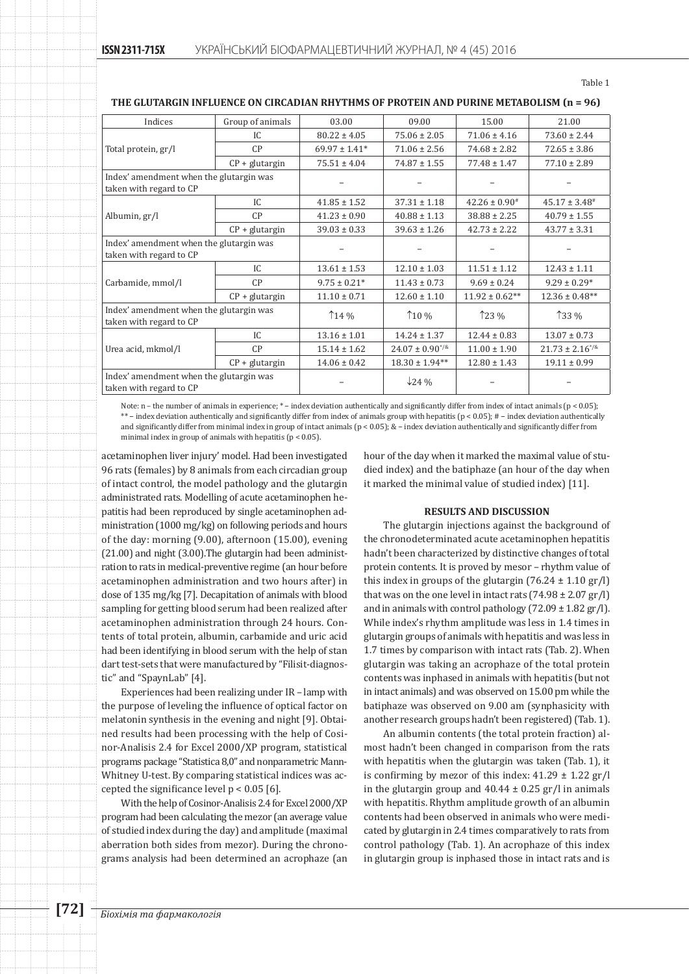| Indices                                                            | Group of animals | 03.00              | 09.00                  | 15.00              | 21.00                  |
|--------------------------------------------------------------------|------------------|--------------------|------------------------|--------------------|------------------------|
| Total protein, gr/l                                                | IC.              | $80.22 \pm 4.05$   | $75.06 \pm 2.05$       | $71.06 \pm 4.16$   | $73.60 \pm 2.44$       |
|                                                                    | CP               | $69.97 \pm 1.41$ * | $71.06 \pm 2.56$       | $74.68 \pm 2.82$   | $72.65 \pm 3.86$       |
|                                                                    | $CP + glutargin$ | $75.51 \pm 4.04$   | $74.87 \pm 1.55$       | $77.48 \pm 1.47$   | $77.10 \pm 2.89$       |
| Index' amendment when the glutargin was<br>taken with regard to CP |                  |                    |                        |                    |                        |
| Albumin, gr/l                                                      | IC.              | $41.85 \pm 1.52$   | $37.31 \pm 1.18$       | $42.26 \pm 0.90^*$ | $45.17 \pm 3.48^{\#}$  |
|                                                                    | CP               | $41.23 \pm 0.90$   | $40.88 \pm 1.13$       | $38.88 \pm 2.25$   | $40.79 \pm 1.55$       |
|                                                                    | $CP + glutargin$ | $39.03 \pm 0.33$   | $39.63 \pm 1.26$       | $42.73 \pm 2.22$   | $43.77 \pm 3.31$       |
| Index' amendment when the glutargin was<br>taken with regard to CP |                  |                    |                        |                    |                        |
| Carbamide, mmol/l                                                  | IC.              | $13.61 \pm 1.53$   | $12.10 \pm 1.03$       | $11.51 \pm 1.12$   | $12.43 \pm 1.11$       |
|                                                                    | CP               | $9.75 \pm 0.21*$   | $11.43 \pm 0.73$       | $9.69 \pm 0.24$    | $9.29 \pm 0.29*$       |
|                                                                    | $CP + glutargin$ | $11.10 \pm 0.71$   | $12.60 \pm 1.10$       | $11.92 \pm 0.62**$ | $12.36 \pm 0.48**$     |
| Index' amendment when the glutargin was<br>taken with regard to CP |                  | 14%                | $10\%$                 | $123\%$            | $133\%$                |
| Urea acid, mkmol/l                                                 | IC.              | $13.16 \pm 1.01$   | $14.24 \pm 1.37$       | $12.44 \pm 0.83$   | $13.07 \pm 0.73$       |
|                                                                    | CP               | $15.14 \pm 1.62$   | $24.07 \pm 0.90^{1/8}$ | $11.00 \pm 1.90$   | $21.73 \pm 2.16^{*/8}$ |
|                                                                    | $CP + glutargin$ | $14.06 \pm 0.42$   | $18.30 \pm 1.94**$     | $12.80 \pm 1.43$   | $19.11 \pm 0.99$       |
| Index' amendment when the glutargin was<br>taken with regard to CP |                  |                    | $\sqrt{24}$ %          |                    |                        |

**The glutargin influence on circadian rhythms of protein and purine metabolism (n = 96)**

Note: n – the number of animals in experience; \* – index deviation authentically and significantly differ from index of intact animals (p < 0.05); \*\* − index deviation authentically and significantly differ from index of animals group with hepatitis (р < 0.05); # − index deviation authentically and significantly differ from minimal index in group of intact animals (p < 0.05); & − index deviation authentically and significantly differ from minimal index in group of animals with hepatitis (р < 0.05).

acetaminophen liver injury' model. Had been investigated 96 rats (females) by 8 animals from each circadian group of intact control, the model pathology and the glutargin administrated rats. Modelling of acute acetaminophen hepatitis had been reproduced by single acetaminophen administration (1000 mg/kg) on following periods and hours of the day: morning (9.00), afternoon (15.00), evening (21.00) and night (3.00).The glutargin had been administration to rats in medical-preventive regime (an hour before acetaminophen administration and two hours after) in dose of 135 mg/kg [7]. Decapitation of animals with blood sampling for getting blood serum had been realized after acetaminophen administration through 24 hours. Contents of total protein, albumin, carbamide and uric acid had been identifying in blood serum with the help of stan dart test-sets that were manufactured by "Filisit-diagnostic" and "SpaynLab" [4].

Experiences had been realizing under IR – lamp with the purpose of leveling the influence of optical factor on melatonin synthesis in the evening and night [9]. Obtained results had been processing with the help of Cosinor-Analisis 2.4 for Excel 2000/XP program, statistical programs package "Statistica 8,0" and nonparametric Mann-Whitney U-test. By comparing statistical indices was accepted the significance level  $p < 0.05$  [6].

With the help of Cosinor-Analisis 2.4 for Excel 2000/XP program had been calculating the mezor (an average value of studied index during the day) and amplitude (maximal aberration both sides from mezor). During the chronograms analysis had been determined an acrophaze (an hour of the day when it marked the maximal value of studied index) and the batiphaze (an hour of the day when it marked the minimal value of studied index) [11].

#### **RESULTS AND DISCUSSION**

The glutargin injections against the background of the chronodeterminated acute acetaminophen hepatitis hadn't been characterized by distinctive changes of total protein contents. It is proved by mesor – rhythm value of this index in groups of the glutargin  $(76.24 \pm 1.10 \text{ gr/l})$ that was on the one level in intact rats  $(74.98 \pm 2.07 \text{ gr/l})$ and in animals with control pathology  $(72.09 \pm 1.82 \text{ gr/l})$ . While index's rhythm amplitude was less in 1.4 times in glutargin groups of animals with hepatitis and was less in 1.7 times by comparison with intact rats (Tab. 2). When glutargin was taking an acrophaze of the total protein contents was inphased in animals with hepatitis (but not in intact animals) and was observed on 15.00 pm while the batiphaze was observed on 9.00 am (synphasicity with another research groups hadn't been registered) (Tab. 1).

An albumin contents (the total protein fraction) almost hadn't been changed in comparison from the rats with hepatitis when the glutargin was taken (Tab. 1), it is confirming by mezor of this index:  $41.29 \pm 1.22$  gr/l in the glutargin group and  $40.44 \pm 0.25$  gr/l in animals with hepatitis. Rhythm amplitude growth of an albumin contents had been observed in animals who were medicated by glutargin in 2.4 times comparatively to rats from control pathology (Tab. 1). An acrophaze of this index in glutargin group is inphased those in intact rats and is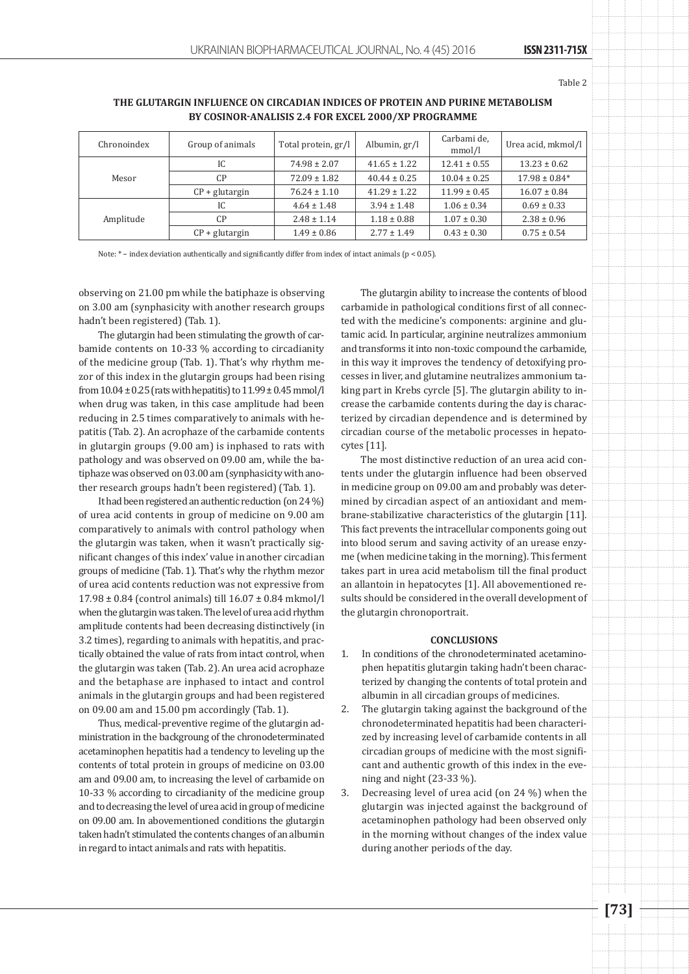Table 2

# **The glutargin influence on circadian indices of protein and purine metabolism by Cosinor-Аnalisis 2.4 for Excel 2000/XP programme**

| Chronoindex | Group of animals | Total protein, gr/l | Albumin, gr/l    | Carbami de,<br>mmol/l | Urea acid, mkmol/l |
|-------------|------------------|---------------------|------------------|-----------------------|--------------------|
| Mesor       | IC               | $74.98 \pm 2.07$    | $41.65 \pm 1.22$ | $12.41 \pm 0.55$      | $13.23 \pm 0.62$   |
|             | C <sub>P</sub>   | $72.09 \pm 1.82$    | $40.44 \pm 0.25$ | $10.04 \pm 0.25$      | $17.98 \pm 0.84*$  |
|             | $CP + glutargin$ | $76.24 \pm 1.10$    | $41.29 \pm 1.22$ | $11.99 \pm 0.45$      | $16.07 \pm 0.84$   |
| Amplitude   | IC.              | $4.64 \pm 1.48$     | $3.94 \pm 1.48$  | $1.06 \pm 0.34$       | $0.69 \pm 0.33$    |
|             | C <sub>P</sub>   | $2.48 \pm 1.14$     | $1.18 \pm 0.88$  | $1.07 \pm 0.30$       | $2.38 \pm 0.96$    |
|             | $CP +$ glutargin | $1.49 \pm 0.86$     | $2.77 \pm 1.49$  | $0.43 \pm 0.30$       | $0.75 \pm 0.54$    |

Note: \* − index deviation authentically and significantly differ from index of intact animals (р < 0.05).

observing on 21.00 pm while the batiphaze is observing on 3.00 am (synphasicity with another research groups hadn't been registered) (Tab. 1).

The glutargin had been stimulating the growth of carbamide contents on 10-33 % according to circadianity of the medicine group (Tab. 1). That's why rhythm mezor of this index in the glutargin groups had been rising from  $10.04 \pm 0.25$  (rats with hepatitis) to  $11.99 \pm 0.45$  mmol/l when drug was taken, in this case amplitude had been reducing in 2.5 times comparatively to animals with hepatitis (Tab. 2). An acrophaze of the carbamide contents in glutargin groups (9.00 am) is inphased to rats with pathology and was observed on 09.00 am, while the batiphaze was observed on 03.00 am (synphasicity with another research groups hadn't been registered) (Tab. 1).

It had been registered an authentic reduction (on 24 %) of urea acid contents in group of medicine on 9.00 am comparatively to animals with control pathology when the glutargin was taken, when it wasn't practically significant changes of this index' value in another circadian groups of medicine (Tab. 1). That's why the rhythm mezor of urea acid contents reduction was not expressive from 17.98 ± 0.84 (control animals) till 16.07 ± 0.84 mkmol/l when the glutargin was taken. The level of urea acid rhythm amplitude contents had been decreasing distinctively (in 3.2 times), regarding to animals with hepatitis, and practically obtained the value of rats from intact control, when the glutargin was taken (Tab. 2). An urea acid acrophaze and the betaphase are inphased to intact and control animals in the glutargin groups and had been registered on 09.00 am and 15.00 pm accordingly (Tab. 1).

Thus, medical-preventive regime of the glutargin administration in the backgroung of the chronodeterminated acetaminophen hepatitis had a tendency to leveling up the contents of total protein in groups of medicine on 03.00 am and 09.00 am, to increasing the level of carbamide on 10-33 % according to circadianity of the medicine group and to decreasing the level of urea acid in group of medicine on 09.00 am. In abovementioned conditions the glutargin taken hadn't stimulated the contents changes of an albumin in regard to intact animals and rats with hepatitis.

The glutargin ability to increase the contents of blood carbamide in pathological conditions first of all connected with the medicine's components: arginine and glutamic acid. In particular, arginine neutralizes ammonium and transforms it into non-toxic compound the carbamide, in this way it improves the tendency of detoxifying processes in liver, and glutamine neutralizes ammonium taking part in Krebs cyrcle [5]. The glutargin ability to increase the carbamide contents during the day is characterized by circadian dependence and is determined by circadian course of the metabolic processes in hepatocytes [11].

The most distinctive reduction of an urea acid contents under the glutargin influence had been observed in medicine group on 09.00 am and probably was determined by circadian aspect of an antioxidant and membrane-stabilizative characteristics of the glutargin [11]. This fact prevents the intracellular components going out into blood serum and saving activity of an urease enzyme (when medicine taking in the morning). This ferment takes part in urea acid metabolism till the final product an allantoin in hepatocytes [1]. All abovementioned results should be considered in the overall development of the glutargin chronoportrait.

## **CONCLUSIONS**

- 1. In conditions of the chronodeterminated acetaminophen hepatitis glutargin taking hadn't been characterized by changing the contents of total protein and albumin in all circadian groups of medicines.
- 2. The glutargin taking against the background of the chronodeterminated hepatitis had been characterized by increasing level of carbamide contents in all circadian groups of medicine with the most significant and authentic growth of this index in the evening and night (23-33 %).
- 3. Decreasing level of urea acid (on 24 %) when the glutargin was injected against the background of acetaminophen pathology had been observed only in the morning without changes of the index value during another periods of the day.